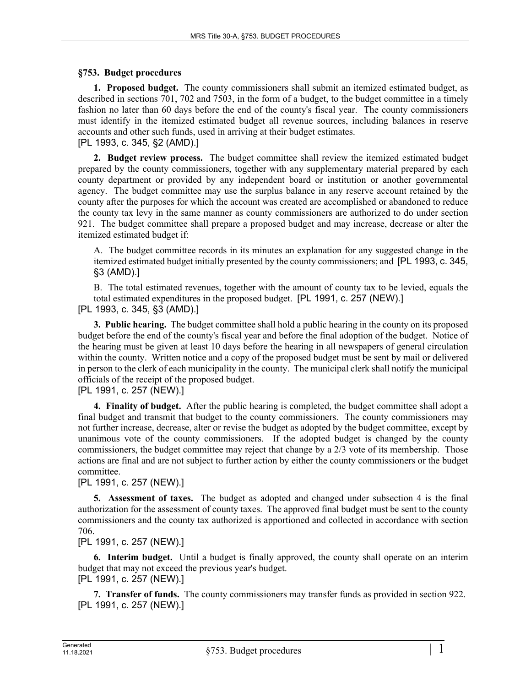### **§753. Budget procedures**

**1. Proposed budget.** The county commissioners shall submit an itemized estimated budget, as described in sections 701, 702 and 7503, in the form of a budget, to the budget committee in a timely fashion no later than 60 days before the end of the county's fiscal year. The county commissioners must identify in the itemized estimated budget all revenue sources, including balances in reserve accounts and other such funds, used in arriving at their budget estimates.

## [PL 1993, c. 345, §2 (AMD).]

**2. Budget review process.** The budget committee shall review the itemized estimated budget prepared by the county commissioners, together with any supplementary material prepared by each county department or provided by any independent board or institution or another governmental agency. The budget committee may use the surplus balance in any reserve account retained by the county after the purposes for which the account was created are accomplished or abandoned to reduce the county tax levy in the same manner as county commissioners are authorized to do under section 921. The budget committee shall prepare a proposed budget and may increase, decrease or alter the itemized estimated budget if:

A. The budget committee records in its minutes an explanation for any suggested change in the itemized estimated budget initially presented by the county commissioners; and [PL 1993, c. 345, §3 (AMD).]

B. The total estimated revenues, together with the amount of county tax to be levied, equals the total estimated expenditures in the proposed budget. [PL 1991, c. 257 (NEW).] [PL 1993, c. 345, §3 (AMD).]

**3. Public hearing.** The budget committee shall hold a public hearing in the county on its proposed budget before the end of the county's fiscal year and before the final adoption of the budget. Notice of the hearing must be given at least 10 days before the hearing in all newspapers of general circulation within the county. Written notice and a copy of the proposed budget must be sent by mail or delivered in person to the clerk of each municipality in the county. The municipal clerk shall notify the municipal officials of the receipt of the proposed budget.

[PL 1991, c. 257 (NEW).]

**4. Finality of budget.** After the public hearing is completed, the budget committee shall adopt a final budget and transmit that budget to the county commissioners. The county commissioners may not further increase, decrease, alter or revise the budget as adopted by the budget committee, except by unanimous vote of the county commissioners. If the adopted budget is changed by the county commissioners, the budget committee may reject that change by a 2/3 vote of its membership. Those actions are final and are not subject to further action by either the county commissioners or the budget committee.

## [PL 1991, c. 257 (NEW).]

**5. Assessment of taxes.** The budget as adopted and changed under subsection 4 is the final authorization for the assessment of county taxes. The approved final budget must be sent to the county commissioners and the county tax authorized is apportioned and collected in accordance with section 706.

#### [PL 1991, c. 257 (NEW).]

**6. Interim budget.** Until a budget is finally approved, the county shall operate on an interim budget that may not exceed the previous year's budget. [PL 1991, c. 257 (NEW).]

**7. Transfer of funds.** The county commissioners may transfer funds as provided in section 922. [PL 1991, c. 257 (NEW).]